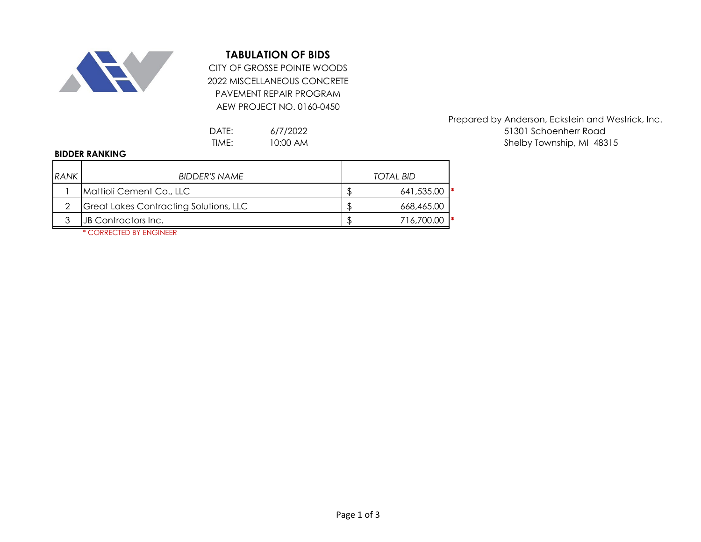

## **TABULATION OF BIDS**

2022 MISCELLANEOUS CONCRETE PAVEMENT REPAIR PROGRAM AEW PROJECT NO. 0160-0450 CITY OF GROSSE POINTE WOODS

> 6/7/2022 10:00 AM

## **BIDDER RANKING**

| <b>RANK</b> | <b>BIDDER'S NAME</b>                   | <b>TOTAL BID</b> |            |  |
|-------------|----------------------------------------|------------------|------------|--|
|             | Mattioli Cement Co., LLC               |                  | 641,535.00 |  |
|             | Great Lakes Contracting Solutions, LLC |                  | 668,465.00 |  |
|             | JB Contractors Inc.                    |                  | 716,700.00 |  |
|             | * CORRECTED BY ENGINEER                |                  |            |  |

Prepared by Anderson, Eckstein and Westrick, Inc. DATE: 6/7/2022 6/12/2022 51301 Schoenherr Road TIME: 10:00 AM and the state of the Shelby Township, MI 48315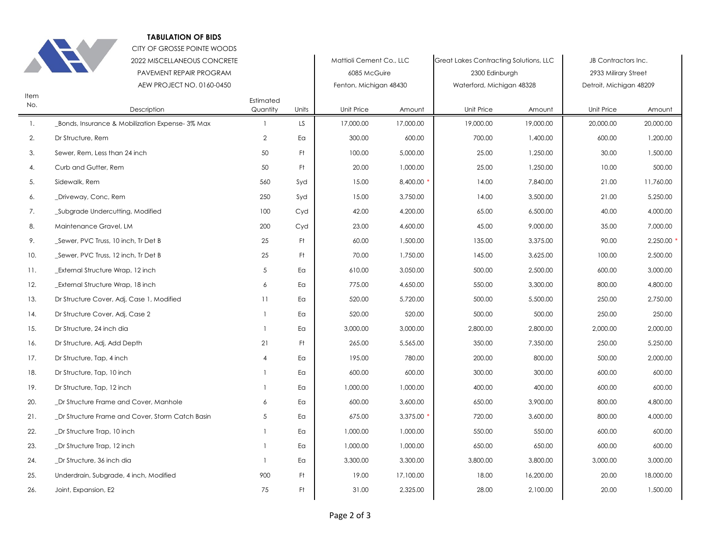

## **TABULATION OF BIDS**

|             | CITY OF GROSSE POINTE WOODS                            |                       |       |                                          |           |                                                          |           |                                             |           |
|-------------|--------------------------------------------------------|-----------------------|-------|------------------------------------------|-----------|----------------------------------------------------------|-----------|---------------------------------------------|-----------|
|             | 2022 MISCELLANEOUS CONCRETE<br>PAVEMENT REPAIR PROGRAM |                       |       | Mattioli Cement Co., LLC<br>6085 McGuire |           | Great Lakes Contracting Solutions, LLC<br>2300 Edinburgh |           | JB Contractors Inc.<br>2933 Milirary Street |           |
|             |                                                        |                       |       |                                          |           |                                                          |           |                                             |           |
|             | AEW PROJECT NO. 0160-0450                              |                       |       | Fenton, Michigan 48430                   |           | Waterford, Michigan 48328                                |           | Detroit, Michigan 48209                     |           |
| Item<br>No. | Description                                            | Estimated<br>Quantity | Units | Unit Price                               | Amount    | Unit Price                                               | Amount    | Unit Price                                  | Amount    |
| 1.          | _Bonds, Insurance & Mobilization Expense-3% Max        | $\mathbf{1}$          | LS.   | 17,000.00                                | 17,000.00 | 19,000.00                                                | 19,000.00 | 20,000.00                                   | 20,000.00 |
| 2.          | Dr Structure, Rem                                      | $\overline{2}$        | Ea    | 300.00                                   | 600.00    | 700.00                                                   | 1,400.00  | 600.00                                      | 1,200.00  |
| 3.          | Sewer, Rem, Less than 24 inch                          | 50                    | Ft    | 100.00                                   | 5,000.00  | 25.00                                                    | 1,250.00  | 30.00                                       | 1,500.00  |
| 4.          | Curb and Gutter, Rem                                   | 50                    | Ft    | 20.00                                    | 1,000.00  | 25.00                                                    | 1,250.00  | 10.00                                       | 500.00    |
| 5.          | Sidewalk, Rem                                          | 560                   | Syd   | 15.00                                    | 8,400.00  | 14.00                                                    | 7,840.00  | 21.00                                       | 11,760.00 |
| 6.          | _Driveway, Conc, Rem                                   | 250                   | Syd   | 15.00                                    | 3,750.00  | 14.00                                                    | 3,500.00  | 21.00                                       | 5,250.00  |
| 7.          | _Subgrade Undercutting, Modified                       | 100                   | Cyd   | 42.00                                    | 4,200.00  | 65.00                                                    | 6,500.00  | 40.00                                       | 4,000.00  |
| 8.          | Maintenance Gravel, LM                                 | 200                   | Cyd   | 23.00                                    | 4,600.00  | 45.00                                                    | 9,000.00  | 35.00                                       | 7,000.00  |
| 9.          | _Sewer, PVC Truss, 10 inch, Tr Det B                   | 25                    | Ft    | 60.00                                    | 1,500.00  | 135.00                                                   | 3,375.00  | 90.00                                       | 2,250.00  |
| 10.         | _Sewer, PVC Truss, 12 inch, Tr Det B                   | 25                    | Ft    | 70.00                                    | 1,750.00  | 145.00                                                   | 3,625.00  | 100.00                                      | 2,500.00  |
| 11.         | <b>External Structure Wrap, 12 inch</b>                | 5                     | Ea    | 610.00                                   | 3,050.00  | 500.00                                                   | 2,500.00  | 600.00                                      | 3,000.00  |
| 12.         | _External Structure Wrap, 18 inch                      | 6                     | Ea    | 775.00                                   | 4,650.00  | 550.00                                                   | 3,300.00  | 800.00                                      | 4,800.00  |
| 13.         | Dr Structure Cover, Adj, Case 1, Modified              | 11                    | Ea    | 520.00                                   | 5,720.00  | 500.00                                                   | 5,500.00  | 250.00                                      | 2.750.00  |
| 14.         | Dr Structure Cover, Adj, Case 2                        | $\mathbf{1}$          | Ea    | 520.00                                   | 520.00    | 500.00                                                   | 500.00    | 250.00                                      | 250.00    |
| 15.         | Dr Structure, 24 inch dia                              | $\mathbf{1}$          | Ea    | 3,000.00                                 | 3,000.00  | 2,800.00                                                 | 2,800.00  | 2,000.00                                    | 2,000.00  |
| 16.         | Dr Structure, Adj, Add Depth                           | 21                    | Ft    | 265.00                                   | 5,565.00  | 350.00                                                   | 7,350.00  | 250.00                                      | 5,250.00  |
| 17.         | Dr Structure, Tap, 4 inch                              | $\overline{4}$        | Ea    | 195.00                                   | 780.00    | 200.00                                                   | 800.00    | 500.00                                      | 2,000.00  |
| 18.         | Dr Structure, Tap, 10 inch                             | 1                     | Ea    | 600.00                                   | 600.00    | 300.00                                                   | 300.00    | 600.00                                      | 600.00    |
| 19.         | Dr Structure, Tap, 12 inch                             | 1                     | Ea    | 1,000.00                                 | 1,000.00  | 400.00                                                   | 400.00    | 600.00                                      | 600.00    |
| 20.         | _Dr Structure Frame and Cover, Manhole                 | 6                     | Ea    | 600.00                                   | 3,600.00  | 650.00                                                   | 3,900.00  | 800.00                                      | 4,800.00  |
| 21.         | _Dr Structure Frame and Cover, Storm Catch Basin       | 5                     | Eα    | 675.00                                   | 3,375.00  | 720.00                                                   | 3,600.00  | 800.00                                      | 4,000.00  |
| 22.         | _Dr Structure Trap, 10 inch                            | 1                     | Ea    | 1,000.00                                 | 1,000.00  | 550.00                                                   | 550.00    | 600.00                                      | 600.00    |
| 23.         | _Dr Structure Trap, 12 inch                            | 1                     | Ea    | 1,000.00                                 | 1,000.00  | 650.00                                                   | 650.00    | 600.00                                      | 600.00    |
| 24.         | _Dr Structure, 36 inch dia                             | $\mathbf{1}$          | Ea    | 3,300.00                                 | 3,300.00  | 3,800.00                                                 | 3,800.00  | 3,000.00                                    | 3,000.00  |
| 25.         | Underdrain, Subgrade, 4 inch, Modified                 | 900                   | Ft    | 19.00                                    | 17,100.00 | 18.00                                                    | 16,200.00 | 20.00                                       | 18,000.00 |
| 26.         | Joint, Expansion, E2                                   | 75                    | Ft.   | 31.00                                    | 2,325.00  | 28.00                                                    | 2,100.00  | 20.00                                       | 1,500.00  |
|             |                                                        |                       |       |                                          |           |                                                          |           |                                             |           |